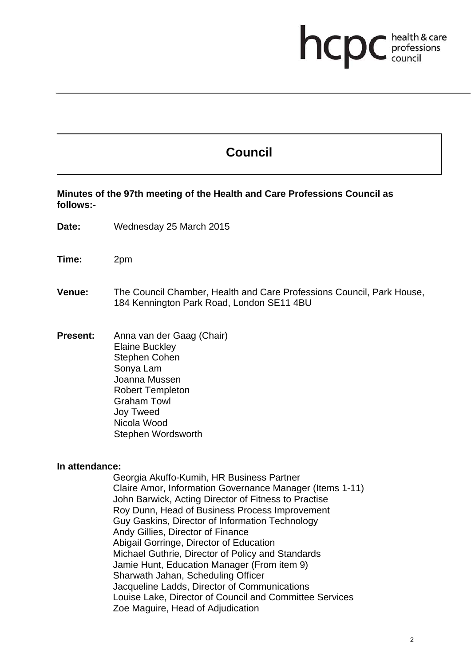# **health & care**

## **Council**

**Minutes of the 97th meeting of the Health and Care Professions Council as follows:-** 

- **Date:** Wednesday 25 March 2015
- **Time:** 2pm

### **Venue:** The Council Chamber, Health and Care Professions Council, Park House, 184 Kennington Park Road, London SE11 4BU

**Present:** Anna van der Gaag (Chair) Elaine Buckley Stephen Cohen Sonya Lam Joanna Mussen Robert Templeton Graham Towl Joy Tweed Nicola Wood Stephen Wordsworth

#### **In attendance:**

Georgia Akuffo-Kumih, HR Business Partner Claire Amor, Information Governance Manager (Items 1-11) John Barwick, Acting Director of Fitness to Practise Roy Dunn, Head of Business Process Improvement Guy Gaskins, Director of Information Technology Andy Gillies, Director of Finance Abigail Gorringe, Director of Education Michael Guthrie, Director of Policy and Standards Jamie Hunt, Education Manager (From item 9) Sharwath Jahan, Scheduling Officer Jacqueline Ladds, Director of Communications Louise Lake, Director of Council and Committee Services Zoe Maguire, Head of Adjudication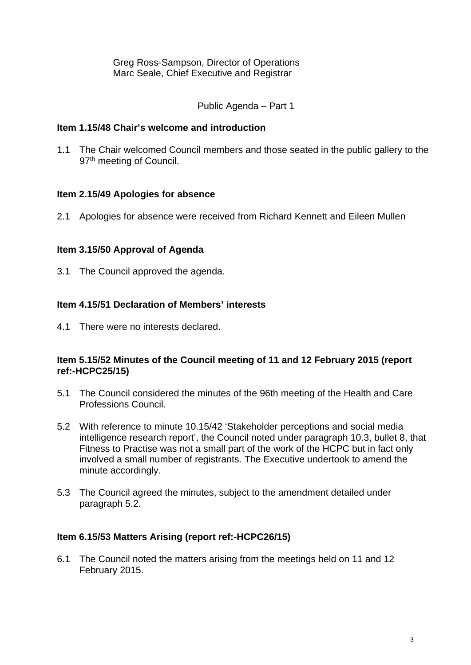Greg Ross-Sampson, Director of Operations Marc Seale, Chief Executive and Registrar

Public Agenda – Part 1

### **Item 1.15/48 Chair's welcome and introduction**

1.1 The Chair welcomed Council members and those seated in the public gallery to the 97<sup>th</sup> meeting of Council.

### **Item 2.15/49 Apologies for absence**

2.1 Apologies for absence were received from Richard Kennett and Eileen Mullen

### **Item 3.15/50 Approval of Agenda**

3.1 The Council approved the agenda.

### **Item 4.15/51 Declaration of Members' interests**

4.1 There were no interests declared.

### **Item 5.15/52 Minutes of the Council meeting of 11 and 12 February 2015 (report ref:-HCPC25/15)**

- 5.1 The Council considered the minutes of the 96th meeting of the Health and Care Professions Council.
- 5.2 With reference to minute 10.15/42 'Stakeholder perceptions and social media intelligence research report', the Council noted under paragraph 10.3, bullet 8, that Fitness to Practise was not a small part of the work of the HCPC but in fact only involved a small number of registrants. The Executive undertook to amend the minute accordingly.
- 5.3 The Council agreed the minutes, subject to the amendment detailed under paragraph 5.2.

### **Item 6.15/53 Matters Arising (report ref:-HCPC26/15)**

6.1 The Council noted the matters arising from the meetings held on 11 and 12 February 2015.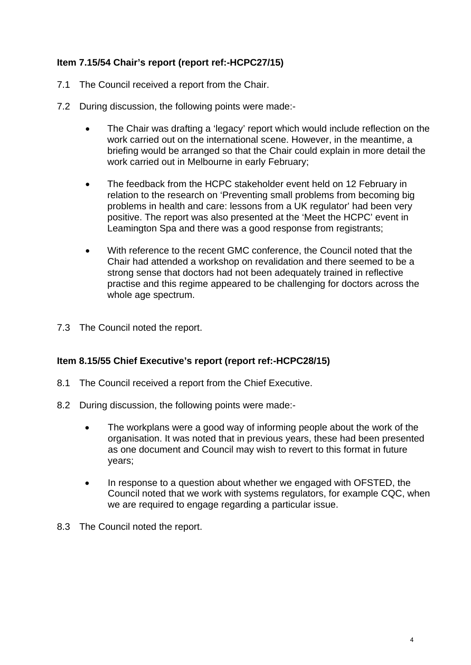### **Item 7.15/54 Chair's report (report ref:-HCPC27/15)**

- 7.1 The Council received a report from the Chair.
- 7.2 During discussion, the following points were made:-
	- The Chair was drafting a 'legacy' report which would include reflection on the work carried out on the international scene. However, in the meantime, a briefing would be arranged so that the Chair could explain in more detail the work carried out in Melbourne in early February;
	- The feedback from the HCPC stakeholder event held on 12 February in relation to the research on 'Preventing small problems from becoming big problems in health and care: lessons from a UK regulator' had been very positive. The report was also presented at the 'Meet the HCPC' event in Leamington Spa and there was a good response from registrants;
	- With reference to the recent GMC conference, the Council noted that the Chair had attended a workshop on revalidation and there seemed to be a strong sense that doctors had not been adequately trained in reflective practise and this regime appeared to be challenging for doctors across the whole age spectrum.
- 7.3 The Council noted the report.

### **Item 8.15/55 Chief Executive's report (report ref:-HCPC28/15)**

- 8.1 The Council received a report from the Chief Executive.
- 8.2 During discussion, the following points were made:-
	- The workplans were a good way of informing people about the work of the organisation. It was noted that in previous years, these had been presented as one document and Council may wish to revert to this format in future years;
	- In response to a question about whether we engaged with OFSTED, the Council noted that we work with systems regulators, for example CQC, when we are required to engage regarding a particular issue.
- 8.3 The Council noted the report.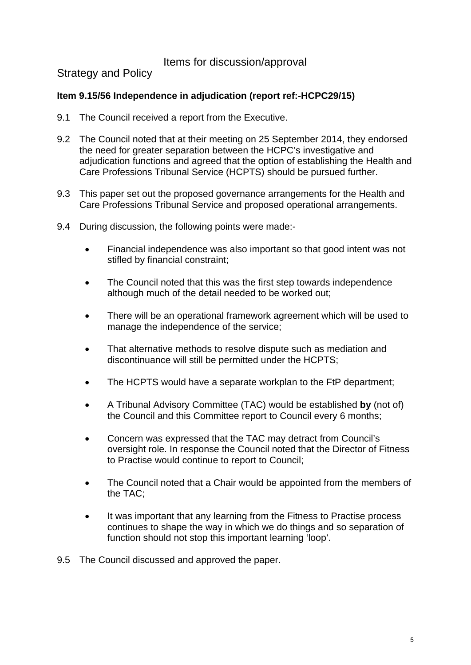### Items for discussion/approval

### Strategy and Policy

### **Item 9.15/56 Independence in adjudication (report ref:-HCPC29/15)**

- 9.1 The Council received a report from the Executive.
- 9.2 The Council noted that at their meeting on 25 September 2014, they endorsed the need for greater separation between the HCPC's investigative and adjudication functions and agreed that the option of establishing the Health and Care Professions Tribunal Service (HCPTS) should be pursued further.
- 9.3 This paper set out the proposed governance arrangements for the Health and Care Professions Tribunal Service and proposed operational arrangements.
- 9.4 During discussion, the following points were made:-
	- Financial independence was also important so that good intent was not stifled by financial constraint;
	- The Council noted that this was the first step towards independence although much of the detail needed to be worked out;
	- There will be an operational framework agreement which will be used to manage the independence of the service;
	- That alternative methods to resolve dispute such as mediation and discontinuance will still be permitted under the HCPTS;
	- The HCPTS would have a separate workplan to the FtP department;
	- A Tribunal Advisory Committee (TAC) would be established **by** (not of) the Council and this Committee report to Council every 6 months;
	- Concern was expressed that the TAC may detract from Council's oversight role. In response the Council noted that the Director of Fitness to Practise would continue to report to Council;
	- The Council noted that a Chair would be appointed from the members of the TAC;
	- It was important that any learning from the Fitness to Practise process continues to shape the way in which we do things and so separation of function should not stop this important learning 'loop'.
- 9.5 The Council discussed and approved the paper.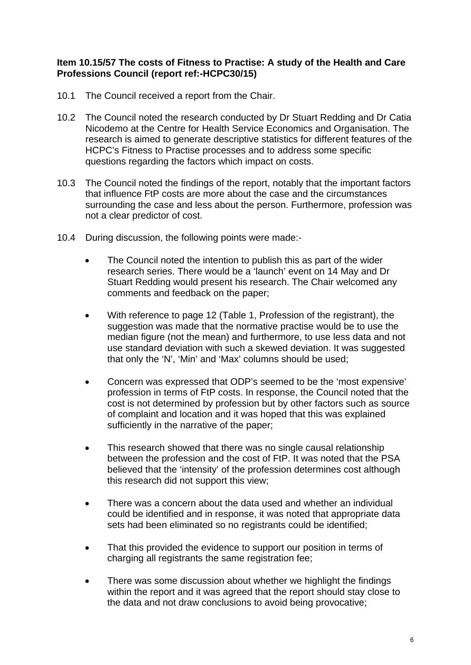### **Item 10.15/57 The costs of Fitness to Practise: A study of the Health and Care Professions Council (report ref:-HCPC30/15)**

- 10.1 The Council received a report from the Chair.
- 10.2 The Council noted the research conducted by Dr Stuart Redding and Dr Catia Nicodemo at the Centre for Health Service Economics and Organisation. The research is aimed to generate descriptive statistics for different features of the HCPC's Fitness to Practise processes and to address some specific questions regarding the factors which impact on costs.
- 10.3 The Council noted the findings of the report, notably that the important factors that influence FtP costs are more about the case and the circumstances surrounding the case and less about the person. Furthermore, profession was not a clear predictor of cost.
- 10.4 During discussion, the following points were made:-
	- The Council noted the intention to publish this as part of the wider research series. There would be a 'launch' event on 14 May and Dr Stuart Redding would present his research. The Chair welcomed any comments and feedback on the paper;
	- With reference to page 12 (Table 1, Profession of the registrant), the suggestion was made that the normative practise would be to use the median figure (not the mean) and furthermore, to use less data and not use standard deviation with such a skewed deviation. It was suggested that only the 'N', 'Min' and 'Max' columns should be used;
	- Concern was expressed that ODP's seemed to be the 'most expensive' profession in terms of FtP costs. In response, the Council noted that the cost is not determined by profession but by other factors such as source of complaint and location and it was hoped that this was explained sufficiently in the narrative of the paper;
	- This research showed that there was no single causal relationship between the profession and the cost of FtP. It was noted that the PSA believed that the 'intensity' of the profession determines cost although this research did not support this view;
	- There was a concern about the data used and whether an individual could be identified and in response, it was noted that appropriate data sets had been eliminated so no registrants could be identified;
	- That this provided the evidence to support our position in terms of charging all registrants the same registration fee:
	- There was some discussion about whether we highlight the findings within the report and it was agreed that the report should stay close to the data and not draw conclusions to avoid being provocative;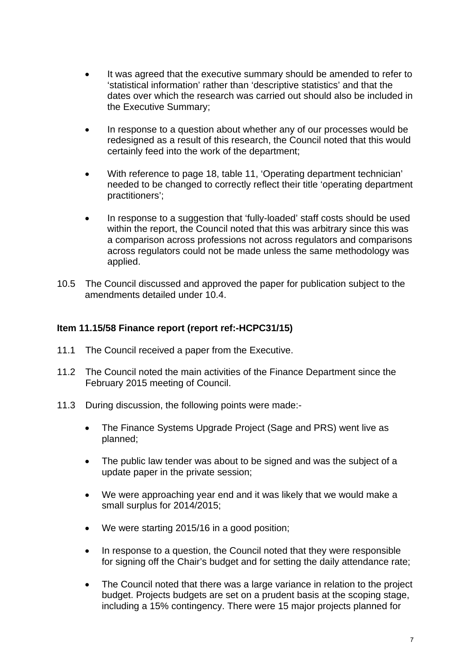- It was agreed that the executive summary should be amended to refer to 'statistical information' rather than 'descriptive statistics' and that the dates over which the research was carried out should also be included in the Executive Summary;
- In response to a question about whether any of our processes would be redesigned as a result of this research, the Council noted that this would certainly feed into the work of the department;
- With reference to page 18, table 11, 'Operating department technician' needed to be changed to correctly reflect their title 'operating department practitioners';
- In response to a suggestion that 'fully-loaded' staff costs should be used within the report, the Council noted that this was arbitrary since this was a comparison across professions not across regulators and comparisons across regulators could not be made unless the same methodology was applied.
- 10.5 The Council discussed and approved the paper for publication subject to the amendments detailed under 10.4.

### **Item 11.15/58 Finance report (report ref:-HCPC31/15)**

- 11.1 The Council received a paper from the Executive.
- 11.2 The Council noted the main activities of the Finance Department since the February 2015 meeting of Council.
- 11.3 During discussion, the following points were made:-
	- The Finance Systems Upgrade Project (Sage and PRS) went live as planned;
	- The public law tender was about to be signed and was the subject of a update paper in the private session;
	- We were approaching year end and it was likely that we would make a small surplus for 2014/2015;
	- We were starting 2015/16 in a good position;
	- In response to a question, the Council noted that they were responsible for signing off the Chair's budget and for setting the daily attendance rate;
	- The Council noted that there was a large variance in relation to the project budget. Projects budgets are set on a prudent basis at the scoping stage, including a 15% contingency. There were 15 major projects planned for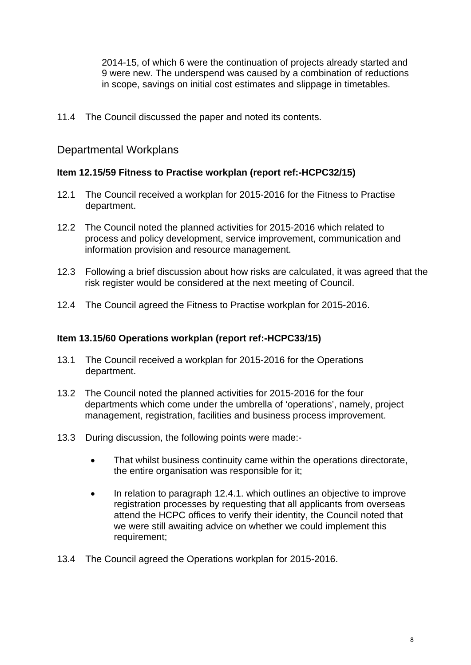2014-15, of which 6 were the continuation of projects already started and 9 were new. The underspend was caused by a combination of reductions in scope, savings on initial cost estimates and slippage in timetables.

11.4 The Council discussed the paper and noted its contents.

### Departmental Workplans

### **Item 12.15/59 Fitness to Practise workplan (report ref:-HCPC32/15)**

- 12.1 The Council received a workplan for 2015-2016 for the Fitness to Practise department.
- 12.2 The Council noted the planned activities for 2015-2016 which related to process and policy development, service improvement, communication and information provision and resource management.
- 12.3 Following a brief discussion about how risks are calculated, it was agreed that the risk register would be considered at the next meeting of Council.
- 12.4 The Council agreed the Fitness to Practise workplan for 2015-2016.

### **Item 13.15/60 Operations workplan (report ref:-HCPC33/15)**

- 13.1 The Council received a workplan for 2015-2016 for the Operations department.
- 13.2 The Council noted the planned activities for 2015-2016 for the four departments which come under the umbrella of 'operations', namely, project management, registration, facilities and business process improvement.
- 13.3 During discussion, the following points were made:-
	- That whilst business continuity came within the operations directorate, the entire organisation was responsible for it;
	- In relation to paragraph 12.4.1. which outlines an objective to improve registration processes by requesting that all applicants from overseas attend the HCPC offices to verify their identity, the Council noted that we were still awaiting advice on whether we could implement this requirement;
- 13.4 The Council agreed the Operations workplan for 2015-2016.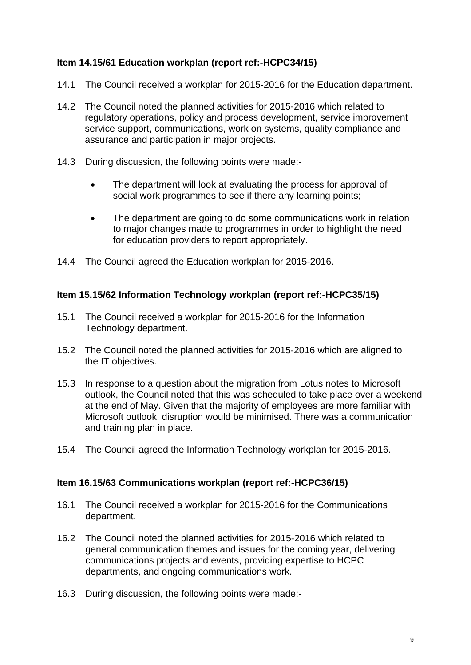### **Item 14.15/61 Education workplan (report ref:-HCPC34/15)**

- 14.1 The Council received a workplan for 2015-2016 for the Education department.
- 14.2 The Council noted the planned activities for 2015-2016 which related to regulatory operations, policy and process development, service improvement service support, communications, work on systems, quality compliance and assurance and participation in major projects.
- 14.3 During discussion, the following points were made:-
	- The department will look at evaluating the process for approval of social work programmes to see if there any learning points;
	- The department are going to do some communications work in relation to major changes made to programmes in order to highlight the need for education providers to report appropriately.
- 14.4 The Council agreed the Education workplan for 2015-2016.

### **Item 15.15/62 Information Technology workplan (report ref:-HCPC35/15)**

- 15.1 The Council received a workplan for 2015-2016 for the Information Technology department.
- 15.2 The Council noted the planned activities for 2015-2016 which are aligned to the IT objectives.
- 15.3 In response to a question about the migration from Lotus notes to Microsoft outlook, the Council noted that this was scheduled to take place over a weekend at the end of May. Given that the majority of employees are more familiar with Microsoft outlook, disruption would be minimised. There was a communication and training plan in place.
- 15.4 The Council agreed the Information Technology workplan for 2015-2016.

### **Item 16.15/63 Communications workplan (report ref:-HCPC36/15)**

- 16.1 The Council received a workplan for 2015-2016 for the Communications department.
- 16.2 The Council noted the planned activities for 2015-2016 which related to general communication themes and issues for the coming year, delivering communications projects and events, providing expertise to HCPC departments, and ongoing communications work.
- 16.3 During discussion, the following points were made:-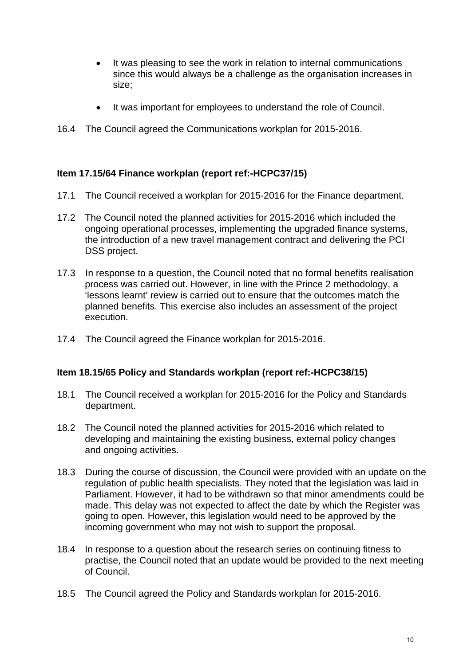- It was pleasing to see the work in relation to internal communications since this would always be a challenge as the organisation increases in size;
- It was important for employees to understand the role of Council.
- 16.4 The Council agreed the Communications workplan for 2015-2016.

### **Item 17.15/64 Finance workplan (report ref:-HCPC37/15)**

- 17.1 The Council received a workplan for 2015-2016 for the Finance department.
- 17.2 The Council noted the planned activities for 2015-2016 which included the ongoing operational processes, implementing the upgraded finance systems, the introduction of a new travel management contract and delivering the PCI DSS project.
- 17.3 In response to a question, the Council noted that no formal benefits realisation process was carried out. However, in line with the Prince 2 methodology, a 'lessons learnt' review is carried out to ensure that the outcomes match the planned benefits. This exercise also includes an assessment of the project execution.
- 17.4 The Council agreed the Finance workplan for 2015-2016.

### **Item 18.15/65 Policy and Standards workplan (report ref:-HCPC38/15)**

- 18.1 The Council received a workplan for 2015-2016 for the Policy and Standards department.
- 18.2 The Council noted the planned activities for 2015-2016 which related to developing and maintaining the existing business, external policy changes and ongoing activities.
- 18.3 During the course of discussion, the Council were provided with an update on the regulation of public health specialists. They noted that the legislation was laid in Parliament. However, it had to be withdrawn so that minor amendments could be made. This delay was not expected to affect the date by which the Register was going to open. However, this legislation would need to be approved by the incoming government who may not wish to support the proposal.
- 18.4 In response to a question about the research series on continuing fitness to practise, the Council noted that an update would be provided to the next meeting of Council.
- 18.5 The Council agreed the Policy and Standards workplan for 2015-2016.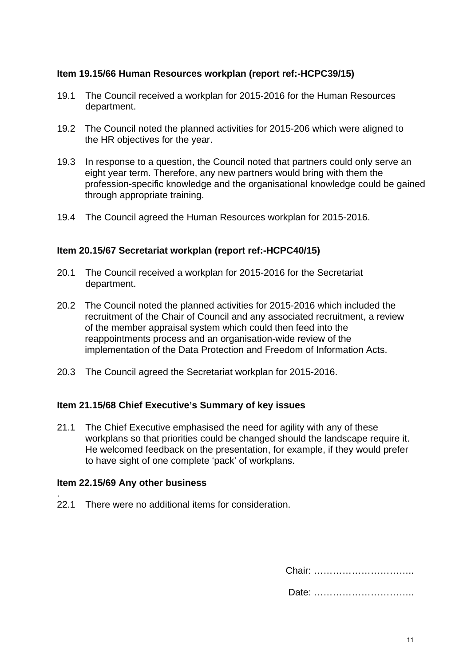### **Item 19.15/66 Human Resources workplan (report ref:-HCPC39/15)**

- 19.1 The Council received a workplan for 2015-2016 for the Human Resources department.
- 19.2 The Council noted the planned activities for 2015-206 which were aligned to the HR objectives for the year.
- 19.3 In response to a question, the Council noted that partners could only serve an eight year term. Therefore, any new partners would bring with them the profession-specific knowledge and the organisational knowledge could be gained through appropriate training.
- 19.4 The Council agreed the Human Resources workplan for 2015-2016.

### **Item 20.15/67 Secretariat workplan (report ref:-HCPC40/15)**

- 20.1 The Council received a workplan for 2015-2016 for the Secretariat department.
- 20.2 The Council noted the planned activities for 2015-2016 which included the recruitment of the Chair of Council and any associated recruitment, a review of the member appraisal system which could then feed into the reappointments process and an organisation-wide review of the implementation of the Data Protection and Freedom of Information Acts.
- 20.3 The Council agreed the Secretariat workplan for 2015-2016.

### **Item 21.15/68 Chief Executive's Summary of key issues**

21.1 The Chief Executive emphasised the need for agility with any of these workplans so that priorities could be changed should the landscape require it. He welcomed feedback on the presentation, for example, if they would prefer to have sight of one complete 'pack' of workplans.

### **Item 22.15/69 Any other business**

.

22.1 There were no additional items for consideration.

Chair: …………………………..

Date: …………………………..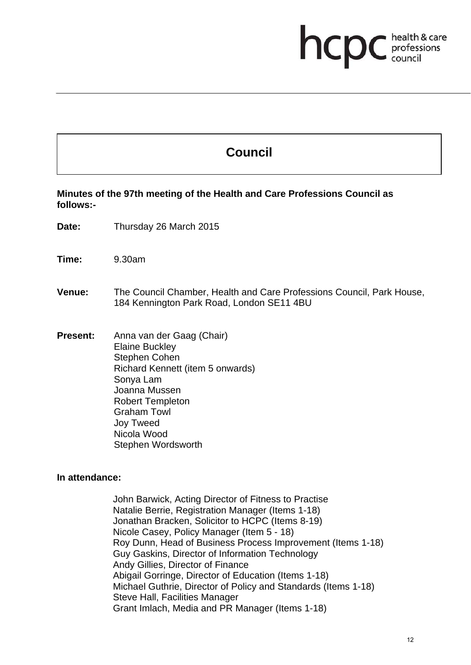# **health & care** health & care

## **Council**

**Minutes of the 97th meeting of the Health and Care Professions Council as follows:-** 

**Date:** Thursday 26 March 2015

**Time:** 9.30am

### **Venue:** The Council Chamber, Health and Care Professions Council, Park House, 184 Kennington Park Road, London SE11 4BU

**Present:** Anna van der Gaag (Chair) Elaine Buckley Stephen Cohen Richard Kennett (item 5 onwards) Sonya Lam Joanna Mussen Robert Templeton Graham Towl Joy Tweed Nicola Wood Stephen Wordsworth

### **In attendance:**

John Barwick, Acting Director of Fitness to Practise Natalie Berrie, Registration Manager (Items 1-18) Jonathan Bracken, Solicitor to HCPC (Items 8-19) Nicole Casey, Policy Manager (Item 5 - 18) Roy Dunn, Head of Business Process Improvement (Items 1-18) Guy Gaskins, Director of Information Technology Andy Gillies, Director of Finance Abigail Gorringe, Director of Education (Items 1-18) Michael Guthrie, Director of Policy and Standards (Items 1-18) Steve Hall, Facilities Manager Grant Imlach, Media and PR Manager (Items 1-18)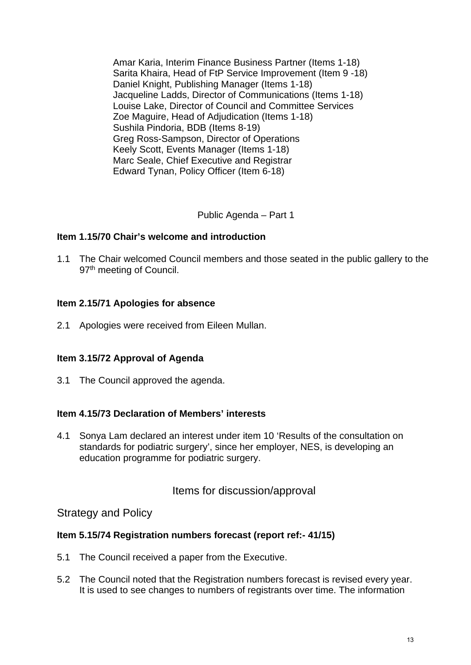Amar Karia, Interim Finance Business Partner (Items 1-18) Sarita Khaira, Head of FtP Service Improvement (Item 9 -18) Daniel Knight, Publishing Manager (Items 1-18) Jacqueline Ladds, Director of Communications (Items 1-18) Louise Lake, Director of Council and Committee Services Zoe Maguire, Head of Adjudication (Items 1-18) Sushila Pindoria, BDB (Items 8-19) Greg Ross-Sampson, Director of Operations Keely Scott, Events Manager (Items 1-18) Marc Seale, Chief Executive and Registrar Edward Tynan, Policy Officer (Item 6-18)

Public Agenda – Part 1

### **Item 1.15/70 Chair's welcome and introduction**

1.1 The Chair welcomed Council members and those seated in the public gallery to the 97<sup>th</sup> meeting of Council.

### **Item 2.15/71 Apologies for absence**

2.1 Apologies were received from Eileen Mullan.

### **Item 3.15/72 Approval of Agenda**

3.1 The Council approved the agenda.

### **Item 4.15/73 Declaration of Members' interests**

4.1 Sonya Lam declared an interest under item 10 'Results of the consultation on standards for podiatric surgery', since her employer, NES, is developing an education programme for podiatric surgery.

Items for discussion/approval

Strategy and Policy

### **Item 5.15/74 Registration numbers forecast (report ref:- 41/15)**

- 5.1 The Council received a paper from the Executive.
- 5.2 The Council noted that the Registration numbers forecast is revised every year. It is used to see changes to numbers of registrants over time. The information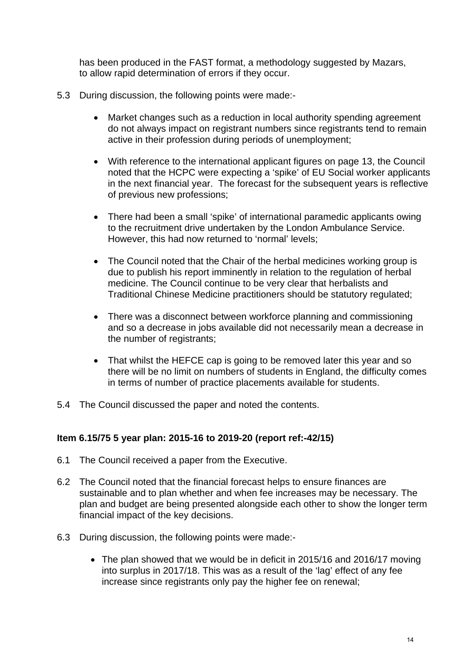has been produced in the FAST format, a methodology suggested by Mazars, to allow rapid determination of errors if they occur.

- 5.3 During discussion, the following points were made:-
	- Market changes such as a reduction in local authority spending agreement do not always impact on registrant numbers since registrants tend to remain active in their profession during periods of unemployment;
	- With reference to the international applicant figures on page 13, the Council noted that the HCPC were expecting a 'spike' of EU Social worker applicants in the next financial year. The forecast for the subsequent years is reflective of previous new professions;
	- There had been a small 'spike' of international paramedic applicants owing to the recruitment drive undertaken by the London Ambulance Service. However, this had now returned to 'normal' levels;
	- The Council noted that the Chair of the herbal medicines working group is due to publish his report imminently in relation to the regulation of herbal medicine. The Council continue to be very clear that herbalists and Traditional Chinese Medicine practitioners should be statutory regulated;
	- There was a disconnect between workforce planning and commissioning and so a decrease in jobs available did not necessarily mean a decrease in the number of registrants;
	- That whilst the HEFCE cap is going to be removed later this year and so there will be no limit on numbers of students in England, the difficulty comes in terms of number of practice placements available for students.
- 5.4 The Council discussed the paper and noted the contents.

### **Item 6.15/75 5 year plan: 2015-16 to 2019-20 (report ref:-42/15)**

- 6.1 The Council received a paper from the Executive.
- 6.2 The Council noted that the financial forecast helps to ensure finances are sustainable and to plan whether and when fee increases may be necessary. The plan and budget are being presented alongside each other to show the longer term financial impact of the key decisions.
- 6.3 During discussion, the following points were made:-
	- The plan showed that we would be in deficit in 2015/16 and 2016/17 moving into surplus in 2017/18. This was as a result of the 'lag' effect of any fee increase since registrants only pay the higher fee on renewal;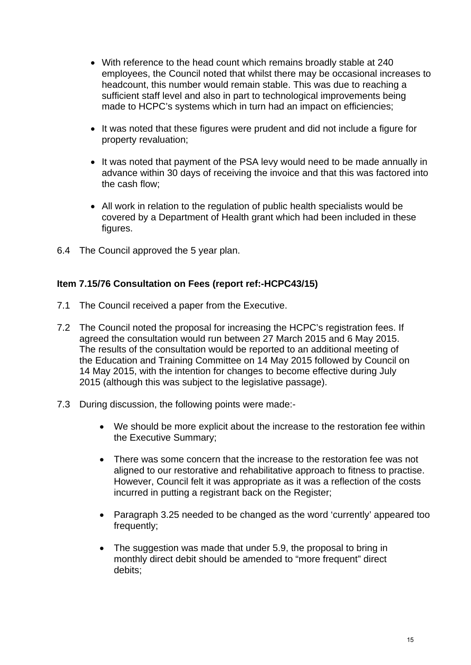- With reference to the head count which remains broadly stable at 240 employees, the Council noted that whilst there may be occasional increases to headcount, this number would remain stable. This was due to reaching a sufficient staff level and also in part to technological improvements being made to HCPC's systems which in turn had an impact on efficiencies;
- It was noted that these figures were prudent and did not include a figure for property revaluation;
- It was noted that payment of the PSA levy would need to be made annually in advance within 30 days of receiving the invoice and that this was factored into the cash flow;
- All work in relation to the regulation of public health specialists would be covered by a Department of Health grant which had been included in these figures.
- 6.4 The Council approved the 5 year plan.

### **Item 7.15/76 Consultation on Fees (report ref:-HCPC43/15)**

- 7.1 The Council received a paper from the Executive.
- 7.2 The Council noted the proposal for increasing the HCPC's registration fees. If agreed the consultation would run between 27 March 2015 and 6 May 2015. The results of the consultation would be reported to an additional meeting of the Education and Training Committee on 14 May 2015 followed by Council on 14 May 2015, with the intention for changes to become effective during July 2015 (although this was subject to the legislative passage).
- 7.3 During discussion, the following points were made:-
	- We should be more explicit about the increase to the restoration fee within the Executive Summary;
	- There was some concern that the increase to the restoration fee was not aligned to our restorative and rehabilitative approach to fitness to practise. However, Council felt it was appropriate as it was a reflection of the costs incurred in putting a registrant back on the Register;
	- Paragraph 3.25 needed to be changed as the word 'currently' appeared too frequently;
	- The suggestion was made that under 5.9, the proposal to bring in monthly direct debit should be amended to "more frequent" direct debits;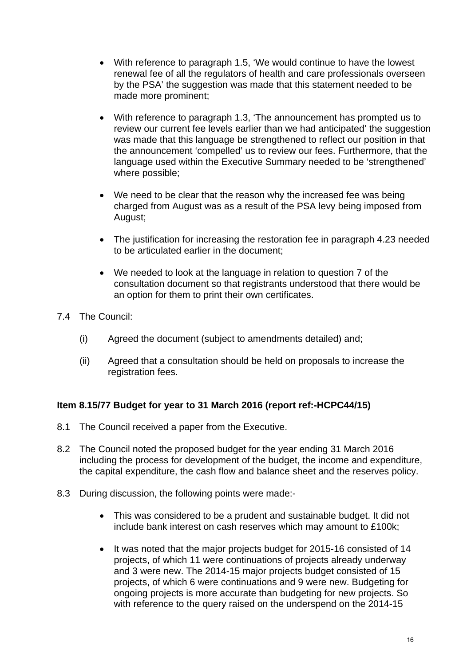- With reference to paragraph 1.5, 'We would continue to have the lowest renewal fee of all the regulators of health and care professionals overseen by the PSA' the suggestion was made that this statement needed to be made more prominent;
- With reference to paragraph 1.3, 'The announcement has prompted us to review our current fee levels earlier than we had anticipated' the suggestion was made that this language be strengthened to reflect our position in that the announcement 'compelled' us to review our fees. Furthermore, that the language used within the Executive Summary needed to be 'strengthened' where possible;
- We need to be clear that the reason why the increased fee was being charged from August was as a result of the PSA levy being imposed from August;
- The justification for increasing the restoration fee in paragraph 4.23 needed to be articulated earlier in the document;
- We needed to look at the language in relation to question 7 of the consultation document so that registrants understood that there would be an option for them to print their own certificates.
- 7.4 The Council:
	- (i) Agreed the document (subject to amendments detailed) and;
	- (ii) Agreed that a consultation should be held on proposals to increase the registration fees.

### **Item 8.15/77 Budget for year to 31 March 2016 (report ref:-HCPC44/15)**

- 8.1 The Council received a paper from the Executive.
- 8.2 The Council noted the proposed budget for the year ending 31 March 2016 including the process for development of the budget, the income and expenditure, the capital expenditure, the cash flow and balance sheet and the reserves policy.
- 8.3 During discussion, the following points were made:-
	- This was considered to be a prudent and sustainable budget. It did not include bank interest on cash reserves which may amount to £100k;
	- It was noted that the major projects budget for 2015-16 consisted of 14 projects, of which 11 were continuations of projects already underway and 3 were new. The 2014-15 major projects budget consisted of 15 projects, of which 6 were continuations and 9 were new. Budgeting for ongoing projects is more accurate than budgeting for new projects. So with reference to the query raised on the underspend on the 2014-15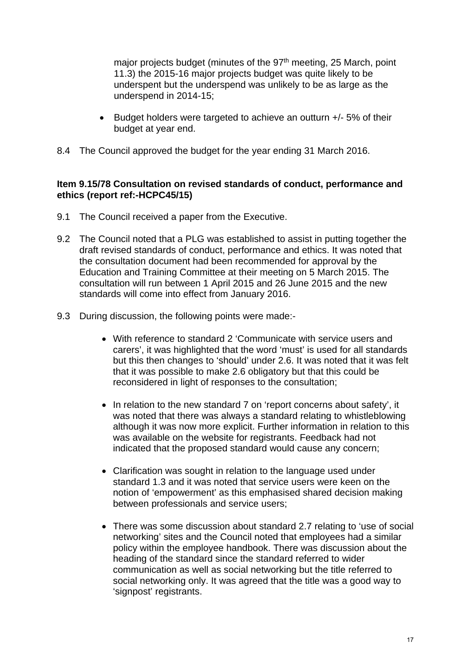major projects budget (minutes of the 97<sup>th</sup> meeting, 25 March, point 11.3) the 2015-16 major projects budget was quite likely to be underspent but the underspend was unlikely to be as large as the underspend in 2014-15;

- Budget holders were targeted to achieve an outturn +/- 5% of their budget at year end.
- 8.4 The Council approved the budget for the year ending 31 March 2016.

### **Item 9.15/78 Consultation on revised standards of conduct, performance and ethics (report ref:-HCPC45/15)**

- 9.1 The Council received a paper from the Executive.
- 9.2 The Council noted that a PLG was established to assist in putting together the draft revised standards of conduct, performance and ethics. It was noted that the consultation document had been recommended for approval by the Education and Training Committee at their meeting on 5 March 2015. The consultation will run between 1 April 2015 and 26 June 2015 and the new standards will come into effect from January 2016.
- 9.3 During discussion, the following points were made:-
	- With reference to standard 2 'Communicate with service users and carers', it was highlighted that the word 'must' is used for all standards but this then changes to 'should' under 2.6. It was noted that it was felt that it was possible to make 2.6 obligatory but that this could be reconsidered in light of responses to the consultation;
	- In relation to the new standard 7 on 'report concerns about safety', it was noted that there was always a standard relating to whistleblowing although it was now more explicit. Further information in relation to this was available on the website for registrants. Feedback had not indicated that the proposed standard would cause any concern;
	- Clarification was sought in relation to the language used under standard 1.3 and it was noted that service users were keen on the notion of 'empowerment' as this emphasised shared decision making between professionals and service users;
	- There was some discussion about standard 2.7 relating to 'use of social networking' sites and the Council noted that employees had a similar policy within the employee handbook. There was discussion about the heading of the standard since the standard referred to wider communication as well as social networking but the title referred to social networking only. It was agreed that the title was a good way to 'signpost' registrants.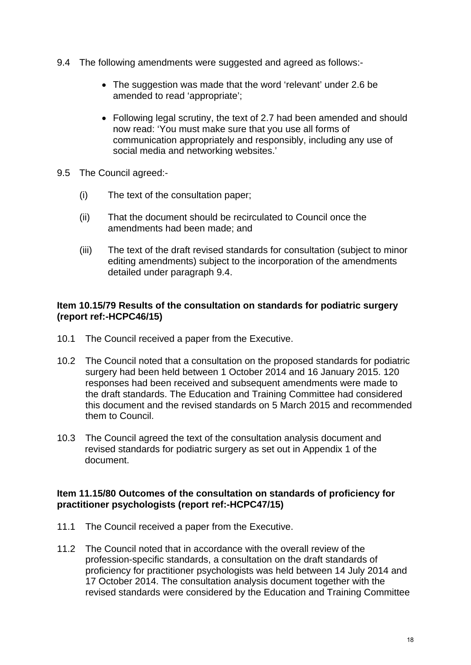- 9.4 The following amendments were suggested and agreed as follows:-
	- The suggestion was made that the word 'relevant' under 2.6 be amended to read 'appropriate';
	- Following legal scrutiny, the text of 2.7 had been amended and should now read: 'You must make sure that you use all forms of communication appropriately and responsibly, including any use of social media and networking websites.'
- 9.5 The Council agreed:-
	- (i) The text of the consultation paper;
	- (ii) That the document should be recirculated to Council once the amendments had been made; and
	- (iii) The text of the draft revised standards for consultation (subject to minor editing amendments) subject to the incorporation of the amendments detailed under paragraph 9.4.

### **Item 10.15/79 Results of the consultation on standards for podiatric surgery (report ref:-HCPC46/15)**

- 10.1 The Council received a paper from the Executive.
- 10.2 The Council noted that a consultation on the proposed standards for podiatric surgery had been held between 1 October 2014 and 16 January 2015. 120 responses had been received and subsequent amendments were made to the draft standards. The Education and Training Committee had considered this document and the revised standards on 5 March 2015 and recommended them to Council.
- 10.3 The Council agreed the text of the consultation analysis document and revised standards for podiatric surgery as set out in Appendix 1 of the document.

### **Item 11.15/80 Outcomes of the consultation on standards of proficiency for practitioner psychologists (report ref:-HCPC47/15)**

- 11.1 The Council received a paper from the Executive.
- 11.2 The Council noted that in accordance with the overall review of the profession-specific standards, a consultation on the draft standards of proficiency for practitioner psychologists was held between 14 July 2014 and 17 October 2014. The consultation analysis document together with the revised standards were considered by the Education and Training Committee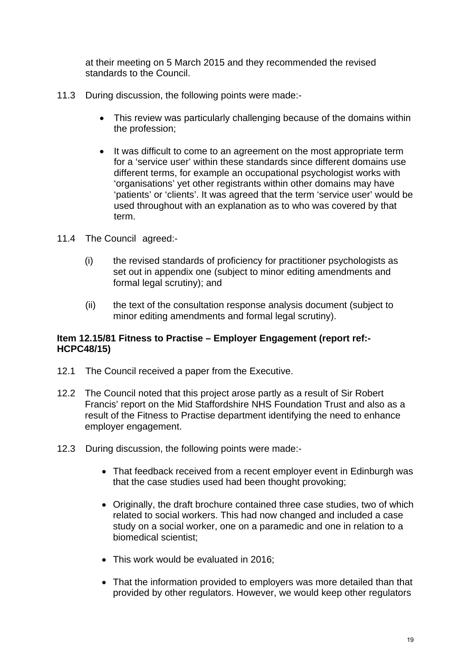at their meeting on 5 March 2015 and they recommended the revised standards to the Council.

- 11.3 During discussion, the following points were made:-
	- This review was particularly challenging because of the domains within the profession;
	- It was difficult to come to an agreement on the most appropriate term for a 'service user' within these standards since different domains use different terms, for example an occupational psychologist works with 'organisations' yet other registrants within other domains may have 'patients' or 'clients'. It was agreed that the term 'service user' would be used throughout with an explanation as to who was covered by that term.
- 11.4 The Council agreed:-
	- (i) the revised standards of proficiency for practitioner psychologists as set out in appendix one (subject to minor editing amendments and formal legal scrutiny); and
	- (ii) the text of the consultation response analysis document (subject to minor editing amendments and formal legal scrutiny).

### **Item 12.15/81 Fitness to Practise – Employer Engagement (report ref:- HCPC48/15)**

- 12.1 The Council received a paper from the Executive.
- 12.2 The Council noted that this project arose partly as a result of Sir Robert Francis' report on the Mid Staffordshire NHS Foundation Trust and also as a result of the Fitness to Practise department identifying the need to enhance employer engagement.
- 12.3 During discussion, the following points were made:-
	- That feedback received from a recent employer event in Edinburgh was that the case studies used had been thought provoking;
	- Originally, the draft brochure contained three case studies, two of which related to social workers. This had now changed and included a case study on a social worker, one on a paramedic and one in relation to a biomedical scientist;
	- This work would be evaluated in 2016;
	- That the information provided to employers was more detailed than that provided by other regulators. However, we would keep other regulators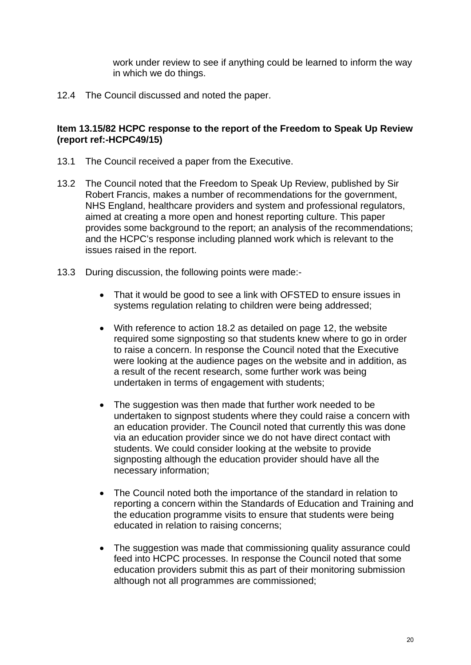work under review to see if anything could be learned to inform the way in which we do things.

12.4 The Council discussed and noted the paper.

### **Item 13.15/82 HCPC response to the report of the Freedom to Speak Up Review (report ref:-HCPC49/15)**

- 13.1 The Council received a paper from the Executive.
- 13.2 The Council noted that the Freedom to Speak Up Review, published by Sir Robert Francis, makes a number of recommendations for the government, NHS England, healthcare providers and system and professional regulators, aimed at creating a more open and honest reporting culture. This paper provides some background to the report; an analysis of the recommendations; and the HCPC's response including planned work which is relevant to the issues raised in the report.
- 13.3 During discussion, the following points were made:-
	- That it would be good to see a link with OFSTED to ensure issues in systems regulation relating to children were being addressed;
	- With reference to action 18.2 as detailed on page 12, the website required some signposting so that students knew where to go in order to raise a concern. In response the Council noted that the Executive were looking at the audience pages on the website and in addition, as a result of the recent research, some further work was being undertaken in terms of engagement with students;
	- The suggestion was then made that further work needed to be undertaken to signpost students where they could raise a concern with an education provider. The Council noted that currently this was done via an education provider since we do not have direct contact with students. We could consider looking at the website to provide signposting although the education provider should have all the necessary information;
	- The Council noted both the importance of the standard in relation to reporting a concern within the Standards of Education and Training and the education programme visits to ensure that students were being educated in relation to raising concerns;
	- The suggestion was made that commissioning quality assurance could feed into HCPC processes. In response the Council noted that some education providers submit this as part of their monitoring submission although not all programmes are commissioned;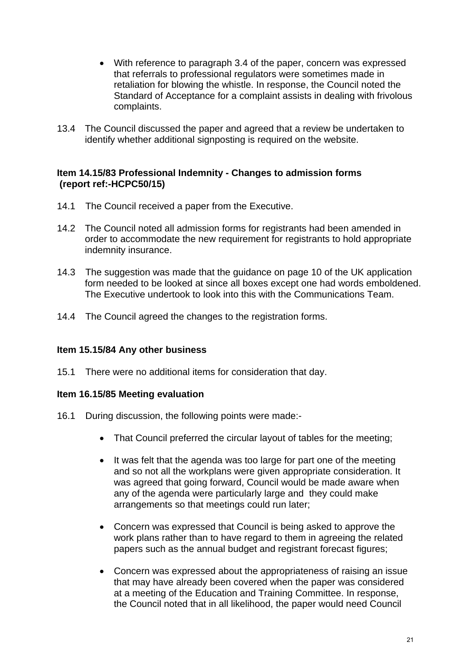- With reference to paragraph 3.4 of the paper, concern was expressed that referrals to professional regulators were sometimes made in retaliation for blowing the whistle. In response, the Council noted the Standard of Acceptance for a complaint assists in dealing with frivolous complaints.
- 13.4 The Council discussed the paper and agreed that a review be undertaken to identify whether additional signposting is required on the website.

### **Item 14.15/83 Professional Indemnity - Changes to admission forms (report ref:-HCPC50/15)**

- 14.1 The Council received a paper from the Executive.
- 14.2 The Council noted all admission forms for registrants had been amended in order to accommodate the new requirement for registrants to hold appropriate indemnity insurance.
- 14.3 The suggestion was made that the guidance on page 10 of the UK application form needed to be looked at since all boxes except one had words emboldened. The Executive undertook to look into this with the Communications Team.
- 14.4 The Council agreed the changes to the registration forms.

### **Item 15.15/84 Any other business**

15.1 There were no additional items for consideration that day.

### **Item 16.15/85 Meeting evaluation**

- 16.1 During discussion, the following points were made:-
	- That Council preferred the circular layout of tables for the meeting;
	- It was felt that the agenda was too large for part one of the meeting and so not all the workplans were given appropriate consideration. It was agreed that going forward, Council would be made aware when any of the agenda were particularly large and they could make arrangements so that meetings could run later;
	- Concern was expressed that Council is being asked to approve the work plans rather than to have regard to them in agreeing the related papers such as the annual budget and registrant forecast figures;
	- Concern was expressed about the appropriateness of raising an issue that may have already been covered when the paper was considered at a meeting of the Education and Training Committee. In response, the Council noted that in all likelihood, the paper would need Council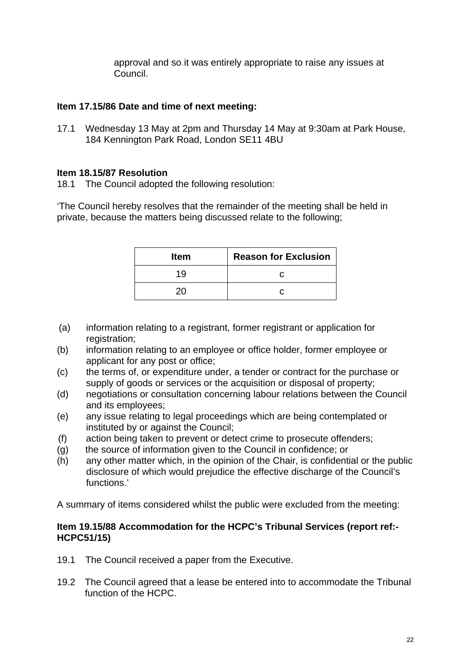approval and so it was entirely appropriate to raise any issues at Council.

### **Item 17.15/86 Date and time of next meeting:**

17.1 Wednesday 13 May at 2pm and Thursday 14 May at 9:30am at Park House, 184 Kennington Park Road, London SE11 4BU

### **Item 18.15/87 Resolution**

18.1 The Council adopted the following resolution:

'The Council hereby resolves that the remainder of the meeting shall be held in private, because the matters being discussed relate to the following;

| <b>Item</b> | <b>Reason for Exclusion</b> |
|-------------|-----------------------------|
| 19          |                             |
| 20          |                             |

- (a) information relating to a registrant, former registrant or application for registration:
- (b) information relating to an employee or office holder, former employee or applicant for any post or office;
- (c) the terms of, or expenditure under, a tender or contract for the purchase or supply of goods or services or the acquisition or disposal of property;
- (d) negotiations or consultation concerning labour relations between the Council and its employees;
- (e) any issue relating to legal proceedings which are being contemplated or instituted by or against the Council;
- (f) action being taken to prevent or detect crime to prosecute offenders;
- (g) the source of information given to the Council in confidence; or
- (h) any other matter which, in the opinion of the Chair, is confidential or the public disclosure of which would prejudice the effective discharge of the Council's functions.'

A summary of items considered whilst the public were excluded from the meeting:

### **Item 19.15/88 Accommodation for the HCPC's Tribunal Services (report ref:- HCPC51/15)**

- 19.1 The Council received a paper from the Executive.
- 19.2 The Council agreed that a lease be entered into to accommodate the Tribunal function of the HCPC.